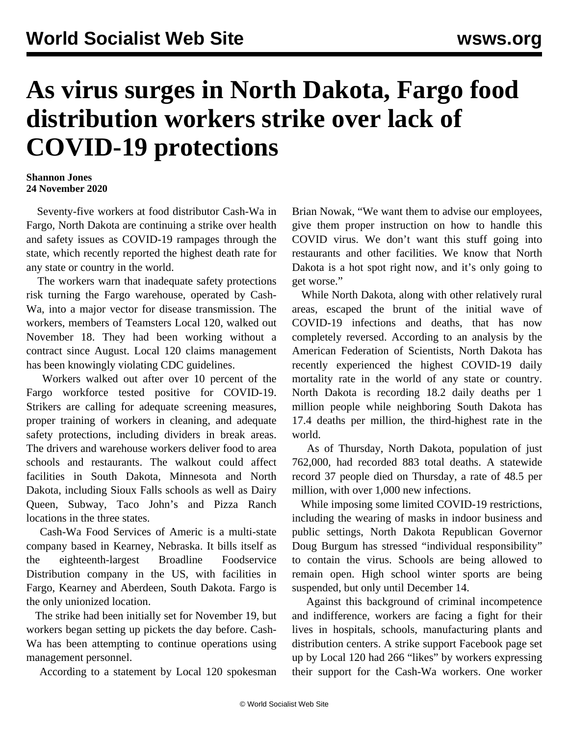## **As virus surges in North Dakota, Fargo food distribution workers strike over lack of COVID-19 protections**

## **Shannon Jones 24 November 2020**

 Seventy-five workers at food distributor Cash-Wa in Fargo, North Dakota are continuing a strike over health and safety issues as COVID-19 rampages through the state, which recently reported the highest death rate for any state or country in the world.

 The workers warn that inadequate safety protections risk turning the Fargo warehouse, operated by Cash-Wa, into a major vector for disease transmission. The workers, members of Teamsters Local 120, walked out November 18. They had been working without a contract since August. Local 120 claims management has been knowingly violating CDC guidelines.

 Workers walked out after over 10 percent of the Fargo workforce tested positive for COVID-19. Strikers are calling for adequate screening measures, proper training of workers in cleaning, and adequate safety protections, including dividers in break areas. The drivers and warehouse workers deliver food to area schools and restaurants. The walkout could affect facilities in South Dakota, Minnesota and North Dakota, including Sioux Falls schools as well as Dairy Queen, Subway, Taco John's and Pizza Ranch locations in the three states.

 Cash-Wa Food Services of Americ is a multi-state company based in Kearney, Nebraska. It bills itself as the eighteenth-largest Broadline Foodservice Distribution company in the US, with facilities in Fargo, Kearney and Aberdeen, South Dakota. Fargo is the only unionized location.

 The strike had been initially set for November 19, but workers began setting up pickets the day before. Cash-Wa has been attempting to continue operations using management personnel.

According to a statement by Local 120 spokesman

Brian Nowak, "We want them to advise our employees, give them proper instruction on how to handle this COVID virus. We don't want this stuff going into restaurants and other facilities. We know that North Dakota is a hot spot right now, and it's only going to get worse."

 While North Dakota, along with other relatively rural areas, escaped the brunt of the initial wave of COVID-19 infections and deaths, that has now completely reversed. According to an analysis by the American Federation of Scientists, North Dakota has recently experienced the highest COVID-19 daily mortality rate in the world of any state or country. North Dakota is recording 18.2 daily deaths per 1 million people while neighboring South Dakota has 17.4 deaths per million, the third-highest rate in the world.

 As of Thursday, North Dakota, population of just 762,000, had recorded 883 total deaths. A statewide record 37 people died on Thursday, a rate of 48.5 per million, with over 1,000 new infections.

 While imposing some limited COVID-19 restrictions, including the wearing of masks in indoor business and public settings, North Dakota Republican Governor Doug Burgum has stressed "individual responsibility" to contain the virus. Schools are being allowed to remain open. High school winter sports are being suspended, but only until December 14.

 Against this background of criminal incompetence and indifference, workers are facing a fight for their lives in hospitals, schools, manufacturing plants and distribution centers. A strike support Facebook page set up by Local 120 had 266 "likes" by workers expressing their support for the Cash-Wa workers. One worker